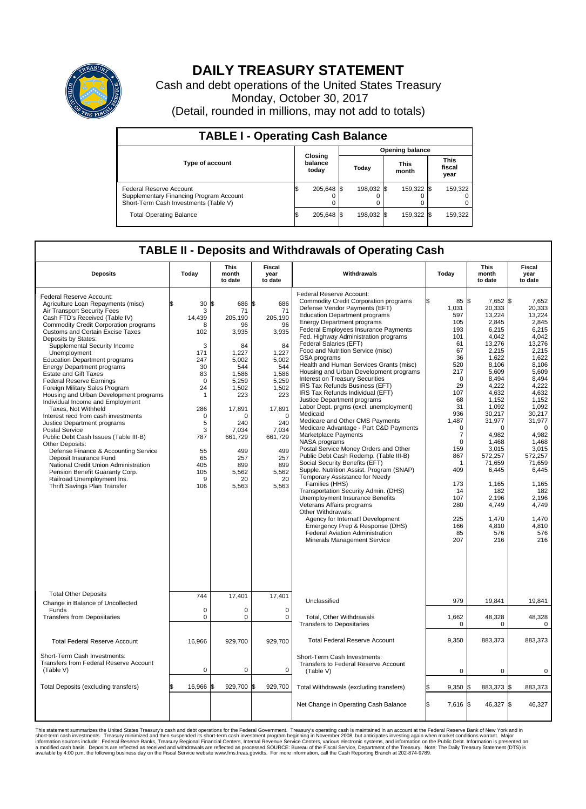

## **DAILY TREASURY STATEMENT**

Cash and debt operations of the United States Treasury Monday, October 30, 2017 (Detail, rounded in millions, may not add to totals)

| <b>TABLE I - Operating Cash Balance</b>                                                                     |  |                             |  |                        |  |                      |  |                               |  |
|-------------------------------------------------------------------------------------------------------------|--|-----------------------------|--|------------------------|--|----------------------|--|-------------------------------|--|
|                                                                                                             |  |                             |  | <b>Opening balance</b> |  |                      |  |                               |  |
| <b>Type of account</b>                                                                                      |  | Closing<br>balance<br>today |  | Todav                  |  | <b>This</b><br>month |  | <b>This</b><br>fiscal<br>year |  |
| Federal Reserve Account<br>Supplementary Financing Program Account<br>Short-Term Cash Investments (Table V) |  | 205,648 \$                  |  | 198.032 \$             |  | 159.322 \$           |  | 159,322                       |  |
| <b>Total Operating Balance</b>                                                                              |  | 205,648 \$                  |  | 198.032 \$             |  | 159,322 \$           |  | 159,322                       |  |

## **TABLE II - Deposits and Withdrawals of Operating Cash**

| <b>Deposits</b>                                                                                                                                                                                                                                                                                                                                                                                                                                                                                                                                                                                                                                                                                                                                                                                                                                                                                                                                               | Today                                                                                                                                                           | <b>This</b><br>month<br>to date                                                                                                                                                                             | Fiscal<br>year<br>to date                                                                                                                                                                          | Withdrawals                                                                                                                                                                                                                                                                                                                                                                                                                                                                                                                                                                                                                                                                                                                                                                                                                                                                                                                                                                                                                                                                                                                                                                                                                                                        | Today                                                                                                                                                                                                                                           | <b>This</b><br>month<br>to date                                                                                                                                                                                                                                                                               | Fiscal<br>year<br>to date                                                                                                                                                                                                                                                                                     |
|---------------------------------------------------------------------------------------------------------------------------------------------------------------------------------------------------------------------------------------------------------------------------------------------------------------------------------------------------------------------------------------------------------------------------------------------------------------------------------------------------------------------------------------------------------------------------------------------------------------------------------------------------------------------------------------------------------------------------------------------------------------------------------------------------------------------------------------------------------------------------------------------------------------------------------------------------------------|-----------------------------------------------------------------------------------------------------------------------------------------------------------------|-------------------------------------------------------------------------------------------------------------------------------------------------------------------------------------------------------------|----------------------------------------------------------------------------------------------------------------------------------------------------------------------------------------------------|--------------------------------------------------------------------------------------------------------------------------------------------------------------------------------------------------------------------------------------------------------------------------------------------------------------------------------------------------------------------------------------------------------------------------------------------------------------------------------------------------------------------------------------------------------------------------------------------------------------------------------------------------------------------------------------------------------------------------------------------------------------------------------------------------------------------------------------------------------------------------------------------------------------------------------------------------------------------------------------------------------------------------------------------------------------------------------------------------------------------------------------------------------------------------------------------------------------------------------------------------------------------|-------------------------------------------------------------------------------------------------------------------------------------------------------------------------------------------------------------------------------------------------|---------------------------------------------------------------------------------------------------------------------------------------------------------------------------------------------------------------------------------------------------------------------------------------------------------------|---------------------------------------------------------------------------------------------------------------------------------------------------------------------------------------------------------------------------------------------------------------------------------------------------------------|
| Federal Reserve Account:<br>Agriculture Loan Repayments (misc)<br>Air Transport Security Fees<br>Cash FTD's Received (Table IV)<br><b>Commodity Credit Corporation programs</b><br><b>Customs and Certain Excise Taxes</b><br>Deposits by States:<br>Supplemental Security Income<br>Unemployment<br><b>Education Department programs</b><br><b>Energy Department programs</b><br><b>Estate and Gift Taxes</b><br><b>Federal Reserve Earnings</b><br>Foreign Military Sales Program<br>Housing and Urban Development programs<br>Individual Income and Employment<br>Taxes. Not Withheld<br>Interest recd from cash investments<br>Justice Department programs<br><b>Postal Service</b><br>Public Debt Cash Issues (Table III-B)<br>Other Deposits:<br>Defense Finance & Accounting Service<br>Deposit Insurance Fund<br>National Credit Union Administration<br>Pension Benefit Guaranty Corp.<br>Railroad Unemployment Ins.<br>Thrift Savings Plan Transfer | \$<br>30<br>3<br>14.439<br>R<br>102<br>3<br>171<br>247<br>30<br>83<br>$\mathbf 0$<br>24<br>1<br>286<br>0<br>5<br>3<br>787<br>55<br>65<br>405<br>105<br>9<br>106 | \$<br>686 \$<br>71<br>205,190<br>96<br>3,935<br>84<br>1,227<br>5.002<br>544<br>1,586<br>5,259<br>1,502<br>223<br>17,891<br>$\Omega$<br>240<br>7,034<br>661,729<br>499<br>257<br>899<br>5,562<br>20<br>5,563 | 686<br>71<br>205,190<br>96<br>3,935<br>84<br>1,227<br>5,002<br>544<br>1,586<br>5,259<br>1,502<br>223<br>17,891<br>$\Omega$<br>240<br>7,034<br>661,729<br>499<br>257<br>899<br>5,562<br>20<br>5,563 | Federal Reserve Account:<br><b>Commodity Credit Corporation programs</b><br>Defense Vendor Payments (EFT)<br><b>Education Department programs</b><br><b>Energy Department programs</b><br>Federal Employees Insurance Payments<br>Fed. Highway Administration programs<br>Federal Salaries (EFT)<br>Food and Nutrition Service (misc)<br>GSA programs<br>Health and Human Services Grants (misc)<br>Housing and Urban Development programs<br>Interest on Treasury Securities<br>IRS Tax Refunds Business (EFT)<br>IRS Tax Refunds Individual (EFT)<br>Justice Department programs<br>Labor Dept. prgms (excl. unemployment)<br>Medicaid<br>Medicare and Other CMS Payments<br>Medicare Advantage - Part C&D Payments<br>Marketplace Payments<br><b>NASA</b> programs<br>Postal Service Money Orders and Other<br>Public Debt Cash Redemp. (Table III-B)<br>Social Security Benefits (EFT)<br>Supple. Nutrition Assist. Program (SNAP)<br>Temporary Assistance for Needy<br>Families (HHS)<br>Transportation Security Admin. (DHS)<br>Unemployment Insurance Benefits<br>Veterans Affairs programs<br>Other Withdrawals:<br>Agency for Internat'l Development<br>Emergency Prep & Response (DHS)<br>Federal Aviation Administration<br>Minerals Management Service | 85 \$<br>\$<br>1,031<br>597<br>105<br>193<br>101<br>61<br>67<br>36<br>520<br>217<br>$\mathbf 0$<br>29<br>107<br>68<br>31<br>936<br>1,487<br>0<br>7<br>$\Omega$<br>159<br>867<br>-1<br>409<br>173<br>14<br>107<br>280<br>225<br>166<br>85<br>207 | 7,652 \$<br>20,333<br>13,224<br>2,845<br>6,215<br>4,042<br>13,276<br>2.215<br>1,622<br>8,106<br>5,609<br>8,494<br>4,222<br>4,632<br>1,152<br>1,092<br>30.217<br>31,977<br>$\Omega$<br>4,982<br>1.468<br>3,015<br>572,257<br>71,659<br>6,445<br>1,165<br>182<br>2,196<br>4,749<br>1,470<br>4,810<br>576<br>216 | 7,652<br>20,333<br>13,224<br>2,845<br>6,215<br>4,042<br>13,276<br>2,215<br>1,622<br>8.106<br>5.609<br>8,494<br>4,222<br>4,632<br>1,152<br>1,092<br>30.217<br>31,977<br>$\mathbf 0$<br>4,982<br>1.468<br>3,015<br>572.257<br>71,659<br>6,445<br>1,165<br>182<br>2,196<br>4,749<br>1,470<br>4,810<br>576<br>216 |
| <b>Total Other Deposits</b><br>Change in Balance of Uncollected<br>Funds<br><b>Transfers from Depositaries</b>                                                                                                                                                                                                                                                                                                                                                                                                                                                                                                                                                                                                                                                                                                                                                                                                                                                | 744<br>0<br>$\mathbf 0$                                                                                                                                         | 17,401<br>0<br>$\mathbf 0$                                                                                                                                                                                  | 17,401<br>0<br>$\mathbf 0$                                                                                                                                                                         | Unclassified<br>Total, Other Withdrawals<br><b>Transfers to Depositaries</b>                                                                                                                                                                                                                                                                                                                                                                                                                                                                                                                                                                                                                                                                                                                                                                                                                                                                                                                                                                                                                                                                                                                                                                                       | 979<br>1,662<br>$\mathbf 0$                                                                                                                                                                                                                     | 19,841<br>48,328<br>$\Omega$                                                                                                                                                                                                                                                                                  | 19,841<br>48,328<br>$\mathbf 0$                                                                                                                                                                                                                                                                               |
| <b>Total Federal Reserve Account</b>                                                                                                                                                                                                                                                                                                                                                                                                                                                                                                                                                                                                                                                                                                                                                                                                                                                                                                                          | 16,966                                                                                                                                                          | 929,700                                                                                                                                                                                                     | 929,700                                                                                                                                                                                            | <b>Total Federal Reserve Account</b>                                                                                                                                                                                                                                                                                                                                                                                                                                                                                                                                                                                                                                                                                                                                                                                                                                                                                                                                                                                                                                                                                                                                                                                                                               | 9,350                                                                                                                                                                                                                                           | 883,373                                                                                                                                                                                                                                                                                                       | 883,373                                                                                                                                                                                                                                                                                                       |
| Short-Term Cash Investments:<br>Transfers from Federal Reserve Account<br>(Table V)                                                                                                                                                                                                                                                                                                                                                                                                                                                                                                                                                                                                                                                                                                                                                                                                                                                                           | $\mathbf 0$                                                                                                                                                     | 0                                                                                                                                                                                                           | 0                                                                                                                                                                                                  | Short-Term Cash Investments:<br>Transfers to Federal Reserve Account<br>(Table V)                                                                                                                                                                                                                                                                                                                                                                                                                                                                                                                                                                                                                                                                                                                                                                                                                                                                                                                                                                                                                                                                                                                                                                                  | $\mathbf 0$                                                                                                                                                                                                                                     | $\mathbf 0$                                                                                                                                                                                                                                                                                                   | 0                                                                                                                                                                                                                                                                                                             |
| Total Deposits (excluding transfers)                                                                                                                                                                                                                                                                                                                                                                                                                                                                                                                                                                                                                                                                                                                                                                                                                                                                                                                          | 16,966<br>\$                                                                                                                                                    | 929,700 \$<br>\$                                                                                                                                                                                            | 929,700                                                                                                                                                                                            | Total Withdrawals (excluding transfers)                                                                                                                                                                                                                                                                                                                                                                                                                                                                                                                                                                                                                                                                                                                                                                                                                                                                                                                                                                                                                                                                                                                                                                                                                            | 9,350                                                                                                                                                                                                                                           | 883,373 \$<br>1\$                                                                                                                                                                                                                                                                                             | 883,373                                                                                                                                                                                                                                                                                                       |
|                                                                                                                                                                                                                                                                                                                                                                                                                                                                                                                                                                                                                                                                                                                                                                                                                                                                                                                                                               |                                                                                                                                                                 |                                                                                                                                                                                                             |                                                                                                                                                                                                    | Net Change in Operating Cash Balance                                                                                                                                                                                                                                                                                                                                                                                                                                                                                                                                                                                                                                                                                                                                                                                                                                                                                                                                                                                                                                                                                                                                                                                                                               | ß.<br>7,616 \$                                                                                                                                                                                                                                  | 46,327 \$                                                                                                                                                                                                                                                                                                     | 46,327                                                                                                                                                                                                                                                                                                        |

This statement summarizes the United States Treasury's cash and debt operations for the Federal Government. Treasury soperating in November 2008, but anticiarded in a cocount at the Federal Reserve Bank of New York and in<br>